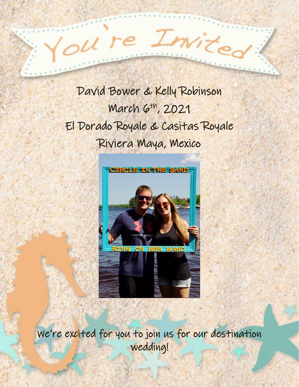David Bower & Kelly Robinson March 6th, 2021 El Dorado Royale & Casitas Royale Riviera Maya, Mexico

 $1 re$ 

Inis



We're excited for you to join us for our destination wedding!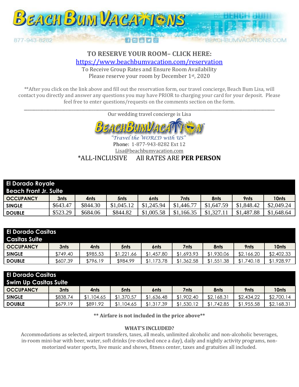

# TO RESERVE YOUR ROOM- CLICK HERE: https://www.beachbumvacation.com/reservation

To Receive Group Rates and Ensure Room Availability Please reserve your room by December 1st, 2020

\*\* After you click on the link above and fill out the reservation form, our travel concierge, Beach Bum Lisa, will contact you directly and answer any questions you may have PRIOR to charging your card for your deposit. Please feel free to enter questions/requests on the comments section on the form.

Our wedding travel concierge is Lisa



"Travel the WORLD with US Phone: 1-877-943-8282 Ext 12 Lisa@beachbumvacation.com \*ALL-INCLUSIVE All RATES ARE PER PERSON

| <b>El Dorado Royale</b><br><b>Beach Front Jr. Suite</b> |          |          |                  |            |            |            |            |            |  |
|---------------------------------------------------------|----------|----------|------------------|------------|------------|------------|------------|------------|--|
| <b>OCCUPANCY</b>                                        | 3nts     | 4nts     | 5 <sub>nts</sub> | 6nts       | 7nts       | 8nts       | 9nts       | 10nts      |  |
| <b>SINGLE</b>                                           | \$643.47 | \$844.30 | \$1,045.12       | \$1,245.94 | \$1,446.77 | \$1,647.59 | \$1,848.42 | \$2,049.24 |  |
| <b>DOUBLE</b>                                           | \$523.29 | \$684.06 | \$844.82         | \$1,005.58 | \$1,166.35 | \$1,327    | \$1,487.88 | \$1,648.64 |  |

| El Dorado Casitas<br><b>Casitas Suite</b> |          |          |            |                |            |            |            |            |
|-------------------------------------------|----------|----------|------------|----------------|------------|------------|------------|------------|
| <b>OCCUPANCY</b>                          | 3nts     | 4nts     | 5nts       | 6nts           | 7nts       | 8nts       | 9nts       | 10nts      |
| <b>SINGLE</b>                             | \$749.40 | \$985.53 | \$1,221.66 | \$1,457.80     | \$1,693.93 | \$1,930.06 | \$2,166.20 | \$2,402.33 |
| <b>DOUBLE</b>                             | \$607.39 | \$796.19 | \$984.99   | ,173.78<br>\$1 | ,362.58    | \$1,551.38 | 740.18     | \$1,928.97 |

| <b>El Dorado Casitas</b><br><b>Swim Up Casitas Suite</b> |          |            |            |                |            |            |            |            |  |
|----------------------------------------------------------|----------|------------|------------|----------------|------------|------------|------------|------------|--|
| <b>OCCUPANCY</b>                                         | 3nts     | 4nts       | 5nts       | 6nts           | 7nts:      | 8nts       | 9nts       | 10nts      |  |
| <b>SINGLE</b>                                            | \$838.74 | \$1,104.65 | \$1,370.57 | \$1,636.48     | \$1,902.40 | \$2,168.31 | \$2,434.22 | \$2,700.14 |  |
| <b>DOUBLE</b>                                            | \$679.19 | \$891.92   | \$1,104.65 | ,317.39<br>\$1 | \$1,530.12 | .742.85    | \$1,955.58 | \$2,168.31 |  |

\*\* Airfare is not included in the price above\*\*

#### **WHAT'S INCLUDED?**

Accommodations as selected, airport transfers, taxes, all meals, unlimited alcoholic and non-alcoholic beverages, in-room mini-bar with beer, water, soft drinks (re-stocked once a day), daily and nightly activity programs, nonmotorized water sports, live music and shows, fitness center, taxes and gratuities all included.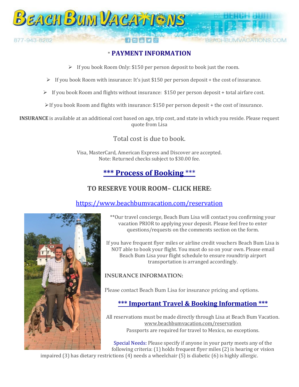

# \* **PAYMENT INFORMATION**

- ➢ If you book Room Only: \$150 per person deposit to book just the room.
- $\triangleright$  If you book Room with insurance: It's just \$150 per person deposit + the cost of insurance.
- $\triangleright$  If you book Room and flights without insurance: \$150 per person deposit + total airfare cost.
- $\triangleright$  If you book Room and flights with insurance: \$150 per person deposit + the cost of insurance.

**INSURANCE** is available at an additional cost based on age, trip cost, and state in which you reside. Please request quote from Lisa

### Total cost is due to book.

Visa, MasterCard, American Express and Discover are accepted. Note: Returned checks subject to \$30.00 fee.

# **\*\*\* Process of Booking** \*\*\*

### **TO RESERVE YOUR ROOM– CLICK HERE:**

### <https://www.beachbumvacation.com/reservation>



\*\*Our travel concierge, Beach Bum Lisa will contact you confirming your vacation PRIOR to applying your deposit. Please feel free to enter questions/requests on the comments section on the form.

If you have frequent flyer miles or airline credit vouchers Beach Bum Lisa is NOT able to book your flight. You must do so on your own. Please email Beach Bum Lisa your flight schedule to ensure roundtrip airport transportation is arranged accordingly.

### **INSURANCE INFORMATION:**

Please contact Beach Bum Lisa for insurance pricing and options.

# **\*\*\* Important Travel & Booking Information \*\*\***

All reservations must be made directly through Lisa at Beach Bum Vacation. [www.beachbumvacation.com/reservation](http://www.beachbumvacation.com/reservation) Passports are required for travel to Mexico, no exceptions.

Special Needs: Please specify if anyone in your party meets any of the following criteria: (1) holds frequent flyer miles (2) is hearing or vision

impaired (3) has dietary restrictions (4) needs a wheelchair (5) is diabetic (6) is highly allergic.